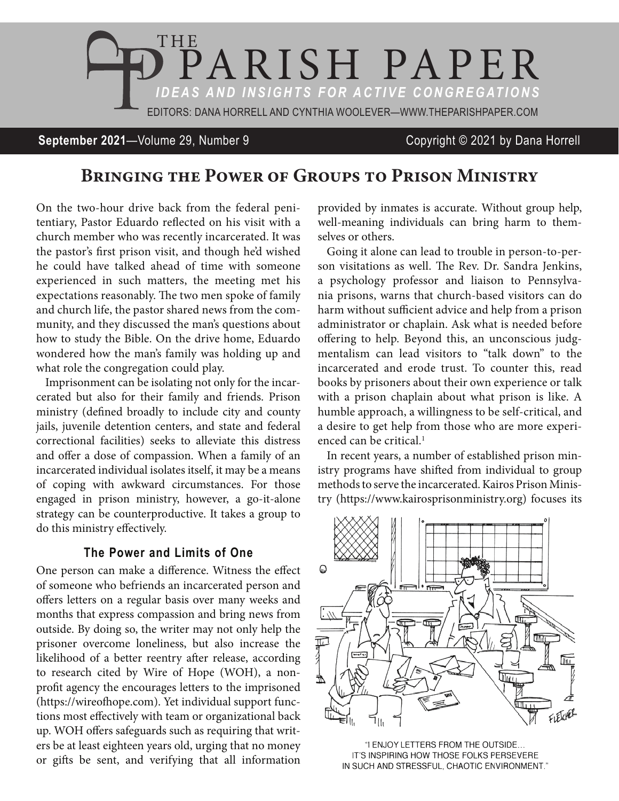

#### **September 2021**—Volume 29, Number 9 Copyright © 2021 by Dana Horrell

# Bringing the Power of Groups to Prison Ministry

On the two-hour drive back from the federal penitentiary, Pastor Eduardo reflected on his visit with a church member who was recently incarcerated. It was the pastor's first prison visit, and though he'd wished he could have talked ahead of time with someone experienced in such matters, the meeting met his expectations reasonably. The two men spoke of family and church life, the pastor shared news from the community, and they discussed the man's questions about how to study the Bible. On the drive home, Eduardo wondered how the man's family was holding up and what role the congregation could play.

Imprisonment can be isolating not only for the incarcerated but also for their family and friends. Prison ministry (defined broadly to include city and county jails, juvenile detention centers, and state and federal correctional facilities) seeks to alleviate this distress and offer a dose of compassion. When a family of an incarcerated individual isolates itself, it may be a means of coping with awkward circumstances. For those engaged in prison ministry, however, a go-it-alone strategy can be counterproductive. It takes a group to do this ministry effectively.

### **The Power and Limits of One**

One person can make a difference. Witness the effect of someone who befriends an incarcerated person and offers letters on a regular basis over many weeks and months that express compassion and bring news from outside. By doing so, the writer may not only help the prisoner overcome loneliness, but also increase the likelihood of a better reentry after release, according to research cited by Wire of Hope (WOH), a nonprofit agency the encourages letters to the imprisoned (https://wireofhope.com). Yet individual support functions most effectively with team or organizational back up. WOH offers safeguards such as requiring that writers be at least eighteen years old, urging that no money or gifts be sent, and verifying that all information

provided by inmates is accurate. Without group help, well-meaning individuals can bring harm to themselves or others.

Going it alone can lead to trouble in person-to-person visitations as well. The Rev. Dr. Sandra Jenkins, a psychology professor and liaison to Pennsylvania prisons, warns that church-based visitors can do harm without sufficient advice and help from a prison administrator or chaplain. Ask what is needed before offering to help. Beyond this, an unconscious judgmentalism can lead visitors to "talk down" to the incarcerated and erode trust. To counter this, read books by prisoners about their own experience or talk with a prison chaplain about what prison is like. A humble approach, a willingness to be self-critical, and a desire to get help from those who are more experienced can be critical.<sup>1</sup>

In recent years, a number of established prison ministry programs have shifted from individual to group methods to serve the incarcerated. Kairos Prison Ministry (https://www.kairosprisonministry.org) focuses its



"I ENJOY LETTERS FROM THE OUTSIDE... IT'S INSPIRING HOW THOSE FOLKS PERSEVERE IN SUCH AND STRESSFUL, CHAOTIC ENVIRONMENT."